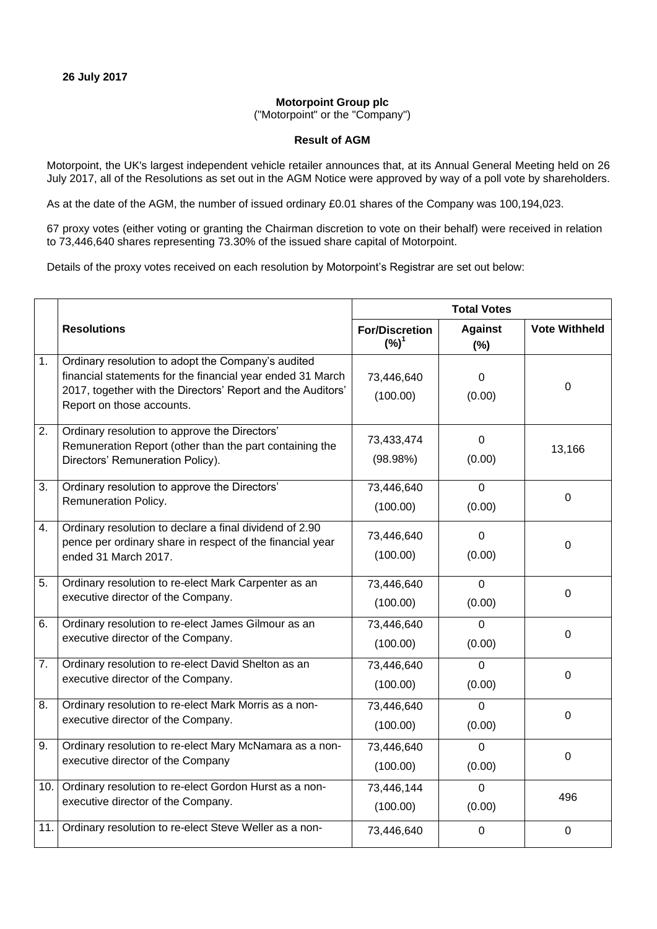## **Motorpoint Group plc**

("Motorpoint" or the "Company")

## **Result of AGM**

Motorpoint, the UK's largest independent vehicle retailer announces that, at its Annual General Meeting held on 26 July 2017, all of the Resolutions as set out in the AGM Notice were approved by way of a poll vote by shareholders.

As at the date of the AGM, the number of issued ordinary £0.01 shares of the Company was 100,194,023.

67 proxy votes (either voting or granting the Chairman discretion to vote on their behalf) were received in relation to 73,446,640 shares representing 73.30% of the issued share capital of Motorpoint.

Details of the proxy votes received on each resolution by Motorpoint's Registrar are set out below:

|     | <b>Resolutions</b>                                                                                                                                                                                           | <b>Total Votes</b>                        |                          |                      |
|-----|--------------------------------------------------------------------------------------------------------------------------------------------------------------------------------------------------------------|-------------------------------------------|--------------------------|----------------------|
|     |                                                                                                                                                                                                              | <b>For/Discretion</b><br>(%) <sup>1</sup> | <b>Against</b><br>(%)    | <b>Vote Withheld</b> |
| 1.  | Ordinary resolution to adopt the Company's audited<br>financial statements for the financial year ended 31 March<br>2017, together with the Directors' Report and the Auditors'<br>Report on those accounts. | 73,446,640<br>(100.00)                    | 0<br>(0.00)              | $\Omega$             |
| 2.  | Ordinary resolution to approve the Directors'<br>Remuneration Report (other than the part containing the<br>Directors' Remuneration Policy).                                                                 | 73,433,474<br>(98.98%)                    | $\Omega$<br>(0.00)       | 13,166               |
| 3.  | Ordinary resolution to approve the Directors'<br>Remuneration Policy.                                                                                                                                        | 73,446,640<br>(100.00)                    | $\mathbf 0$<br>(0.00)    | $\mathbf 0$          |
| 4.  | Ordinary resolution to declare a final dividend of 2.90<br>pence per ordinary share in respect of the financial year<br>ended 31 March 2017.                                                                 | 73,446,640<br>(100.00)                    | $\Omega$<br>(0.00)       | $\overline{0}$       |
| 5.  | Ordinary resolution to re-elect Mark Carpenter as an<br>executive director of the Company.                                                                                                                   | 73,446,640<br>(100.00)                    | $\Omega$<br>(0.00)       | $\mathbf 0$          |
| 6.  | Ordinary resolution to re-elect James Gilmour as an<br>executive director of the Company.                                                                                                                    | 73,446,640<br>(100.00)                    | $\Omega$<br>(0.00)       | 0                    |
| 7.  | Ordinary resolution to re-elect David Shelton as an<br>executive director of the Company.                                                                                                                    | 73,446,640<br>(100.00)                    | $\overline{0}$<br>(0.00) | 0                    |
| 8.  | Ordinary resolution to re-elect Mark Morris as a non-<br>executive director of the Company.                                                                                                                  | 73,446,640<br>(100.00)                    | $\Omega$<br>(0.00)       | $\mathbf 0$          |
| 9.  | Ordinary resolution to re-elect Mary McNamara as a non-<br>executive director of the Company                                                                                                                 | 73,446,640<br>(100.00)                    | $\Omega$<br>(0.00)       | $\overline{0}$       |
| 10. | Ordinary resolution to re-elect Gordon Hurst as a non-<br>executive director of the Company.                                                                                                                 | 73,446,144<br>(100.00)                    | $\Omega$<br>(0.00)       | 496                  |
| 11. | Ordinary resolution to re-elect Steve Weller as a non-                                                                                                                                                       | 73,446,640                                | $\mathbf 0$              | $\mathbf 0$          |